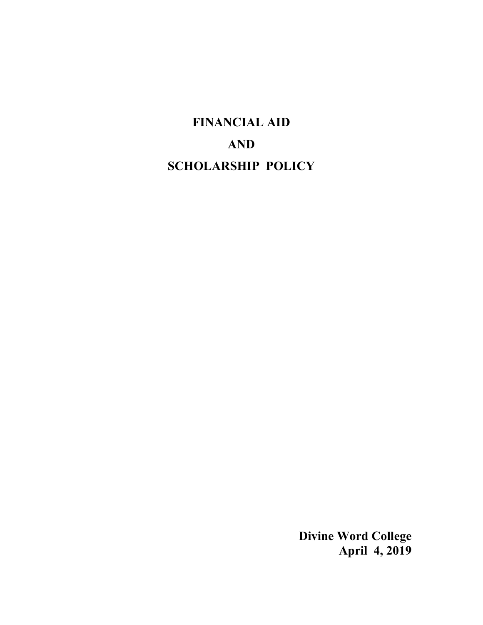# **FINANCIAL AID AND SCHOLARSHIP POLICY**

**Divine Word College April 4, 2019**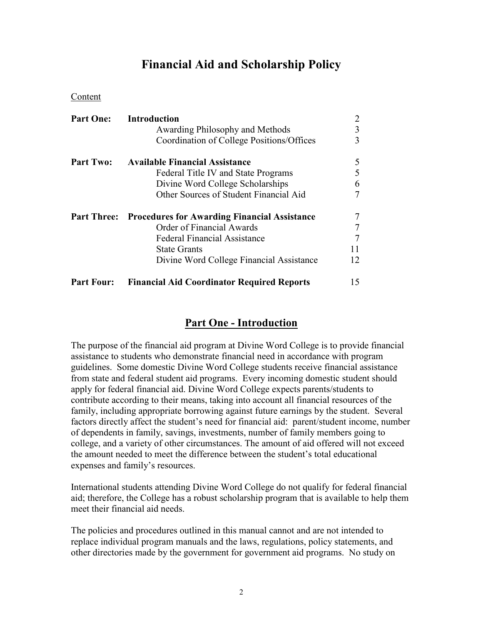# **Financial Aid and Scholarship Policy**

Content

| <b>Part One:</b>   | <b>Introduction</b>                                 | 2  |
|--------------------|-----------------------------------------------------|----|
|                    | Awarding Philosophy and Methods                     | 3  |
|                    | Coordination of College Positions/Offices           | 3  |
| <b>Part Two:</b>   | <b>Available Financial Assistance</b>               | 5  |
|                    | Federal Title IV and State Programs                 | 5  |
|                    | Divine Word College Scholarships                    | 6  |
|                    | Other Sources of Student Financial Aid              | 7  |
| <b>Part Three:</b> | <b>Procedures for Awarding Financial Assistance</b> | 7  |
|                    | Order of Financial Awards                           | 7  |
|                    | <b>Federal Financial Assistance</b>                 | 7  |
|                    | <b>State Grants</b>                                 | 11 |
|                    | Divine Word College Financial Assistance            | 12 |
| <b>Part Four:</b>  | <b>Financial Aid Coordinator Required Reports</b>   | 15 |

# **Part One - Introduction**

The purpose of the financial aid program at Divine Word College is to provide financial assistance to students who demonstrate financial need in accordance with program guidelines. Some domestic Divine Word College students receive financial assistance from state and federal student aid programs. Every incoming domestic student should apply for federal financial aid. Divine Word College expects parents/students to contribute according to their means, taking into account all financial resources of the family, including appropriate borrowing against future earnings by the student. Several factors directly affect the student's need for financial aid: parent/student income, number of dependents in family, savings, investments, number of family members going to college, and a variety of other circumstances. The amount of aid offered will not exceed the amount needed to meet the difference between the student's total educational expenses and family's resources.

International students attending Divine Word College do not qualify for federal financial aid; therefore, the College has a robust scholarship program that is available to help them meet their financial aid needs.

The policies and procedures outlined in this manual cannot and are not intended to replace individual program manuals and the laws, regulations, policy statements, and other directories made by the government for government aid programs. No study on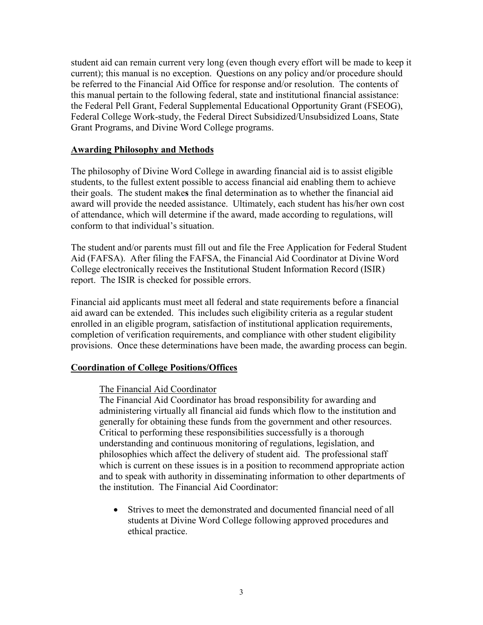student aid can remain current very long (even though every effort will be made to keep it current); this manual is no exception. Questions on any policy and/or procedure should be referred to the Financial Aid Office for response and/or resolution. The contents of this manual pertain to the following federal, state and institutional financial assistance: the Federal Pell Grant, Federal Supplemental Educational Opportunity Grant (FSEOG), Federal College Work-study, the Federal Direct Subsidized/Unsubsidized Loans, State Grant Programs, and Divine Word College programs.

#### **Awarding Philosophy and Methods**

The philosophy of Divine Word College in awarding financial aid is to assist eligible students, to the fullest extent possible to access financial aid enabling them to achieve their goals. The student make**s** the final determination as to whether the financial aid award will provide the needed assistance. Ultimately, each student has his/her own cost of attendance, which will determine if the award, made according to regulations, will conform to that individual's situation.

The student and/or parents must fill out and file the Free Application for Federal Student Aid (FAFSA). After filing the FAFSA, the Financial Aid Coordinator at Divine Word College electronically receives the Institutional Student Information Record (ISIR) report. The ISIR is checked for possible errors.

Financial aid applicants must meet all federal and state requirements before a financial aid award can be extended. This includes such eligibility criteria as a regular student enrolled in an eligible program, satisfaction of institutional application requirements, completion of verification requirements, and compliance with other student eligibility provisions. Once these determinations have been made, the awarding process can begin.

### **Coordination of College Positions/Offices**

#### The Financial Aid Coordinator

The Financial Aid Coordinator has broad responsibility for awarding and administering virtually all financial aid funds which flow to the institution and generally for obtaining these funds from the government and other resources. Critical to performing these responsibilities successfully is a thorough understanding and continuous monitoring of regulations, legislation, and philosophies which affect the delivery of student aid. The professional staff which is current on these issues is in a position to recommend appropriate action and to speak with authority in disseminating information to other departments of the institution. The Financial Aid Coordinator:

• Strives to meet the demonstrated and documented financial need of all students at Divine Word College following approved procedures and ethical practice.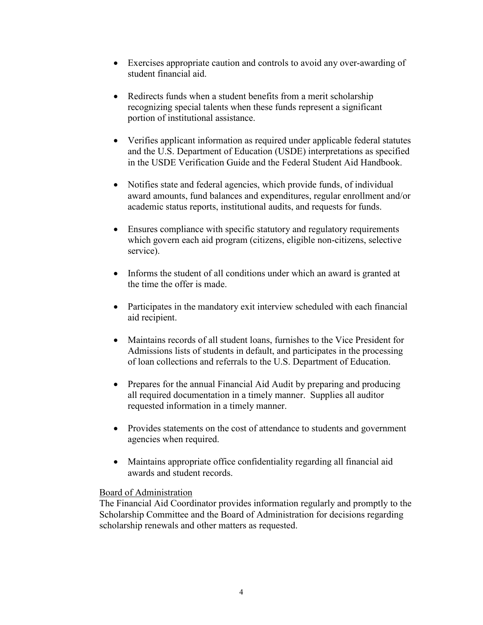- Exercises appropriate caution and controls to avoid any over-awarding of student financial aid.
- Redirects funds when a student benefits from a merit scholarship recognizing special talents when these funds represent a significant portion of institutional assistance.
- Verifies applicant information as required under applicable federal statutes and the U.S. Department of Education (USDE) interpretations as specified in the USDE Verification Guide and the Federal Student Aid Handbook.
- Notifies state and federal agencies, which provide funds, of individual award amounts, fund balances and expenditures, regular enrollment and/or academic status reports, institutional audits, and requests for funds.
- Ensures compliance with specific statutory and regulatory requirements which govern each aid program (citizens, eligible non-citizens, selective service).
- Informs the student of all conditions under which an award is granted at the time the offer is made.
- Participates in the mandatory exit interview scheduled with each financial aid recipient.
- Maintains records of all student loans, furnishes to the Vice President for Admissions lists of students in default, and participates in the processing of loan collections and referrals to the U.S. Department of Education.
- Prepares for the annual Financial Aid Audit by preparing and producing all required documentation in a timely manner. Supplies all auditor requested information in a timely manner.
- Provides statements on the cost of attendance to students and government agencies when required.
- Maintains appropriate office confidentiality regarding all financial aid awards and student records.

### Board of Administration

The Financial Aid Coordinator provides information regularly and promptly to the Scholarship Committee and the Board of Administration for decisions regarding scholarship renewals and other matters as requested.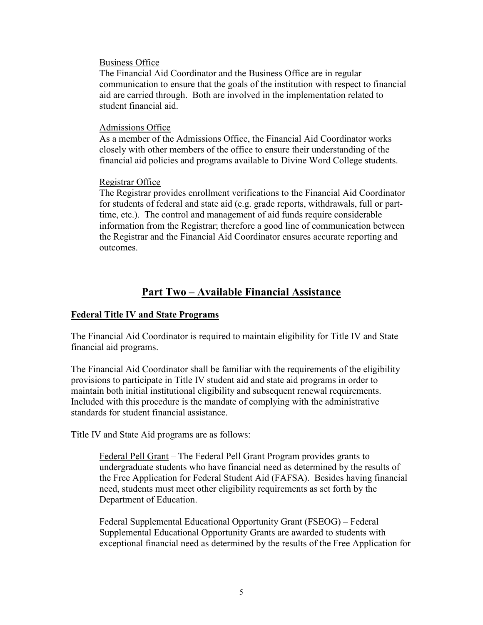#### Business Office

The Financial Aid Coordinator and the Business Office are in regular communication to ensure that the goals of the institution with respect to financial aid are carried through. Both are involved in the implementation related to student financial aid.

#### Admissions Office

As a member of the Admissions Office, the Financial Aid Coordinator works closely with other members of the office to ensure their understanding of the financial aid policies and programs available to Divine Word College students.

#### Registrar Office

The Registrar provides enrollment verifications to the Financial Aid Coordinator for students of federal and state aid (e.g. grade reports, withdrawals, full or parttime, etc.). The control and management of aid funds require considerable information from the Registrar; therefore a good line of communication between the Registrar and the Financial Aid Coordinator ensures accurate reporting and outcomes.

# **Part Two – Available Financial Assistance**

### **Federal Title IV and State Programs**

The Financial Aid Coordinator is required to maintain eligibility for Title IV and State financial aid programs.

The Financial Aid Coordinator shall be familiar with the requirements of the eligibility provisions to participate in Title IV student aid and state aid programs in order to maintain both initial institutional eligibility and subsequent renewal requirements. Included with this procedure is the mandate of complying with the administrative standards for student financial assistance.

Title IV and State Aid programs are as follows:

Federal Pell Grant – The Federal Pell Grant Program provides grants to undergraduate students who have financial need as determined by the results of the Free Application for Federal Student Aid (FAFSA). Besides having financial need, students must meet other eligibility requirements as set forth by the Department of Education.

Federal Supplemental Educational Opportunity Grant (FSEOG) – Federal Supplemental Educational Opportunity Grants are awarded to students with exceptional financial need as determined by the results of the Free Application for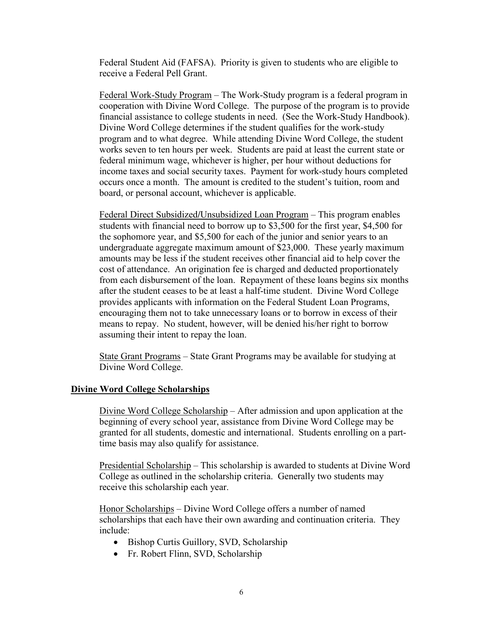Federal Student Aid (FAFSA). Priority is given to students who are eligible to receive a Federal Pell Grant.

Federal Work-Study Program – The Work-Study program is a federal program in cooperation with Divine Word College. The purpose of the program is to provide financial assistance to college students in need. (See the Work-Study Handbook). Divine Word College determines if the student qualifies for the work-study program and to what degree. While attending Divine Word College, the student works seven to ten hours per week. Students are paid at least the current state or federal minimum wage, whichever is higher, per hour without deductions for income taxes and social security taxes. Payment for work-study hours completed occurs once a month. The amount is credited to the student's tuition, room and board, or personal account, whichever is applicable.

Federal Direct Subsidized**/**Unsubsidized Loan Program – This program enables students with financial need to borrow up to \$3,500 for the first year, \$4,500 for the sophomore year, and \$5,500 for each of the junior and senior years to an undergraduate aggregate maximum amount of \$23,000. These yearly maximum amounts may be less if the student receives other financial aid to help cover the cost of attendance. An origination fee is charged and deducted proportionately from each disbursement of the loan. Repayment of these loans begins six months after the student ceases to be at least a half-time student. Divine Word College provides applicants with information on the Federal Student Loan Programs, encouraging them not to take unnecessary loans or to borrow in excess of their means to repay. No student, however, will be denied his/her right to borrow assuming their intent to repay the loan.

State Grant Programs – State Grant Programs may be available for studying at Divine Word College.

#### **Divine Word College Scholarships**

Divine Word College Scholarship – After admission and upon application at the beginning of every school year, assistance from Divine Word College may be granted for all students, domestic and international. Students enrolling on a parttime basis may also qualify for assistance.

Presidential Scholarship – This scholarship is awarded to students at Divine Word College as outlined in the scholarship criteria. Generally two students may receive this scholarship each year.

Honor Scholarships – Divine Word College offers a number of named scholarships that each have their own awarding and continuation criteria. They include:

- Bishop Curtis Guillory, SVD, Scholarship
- Fr. Robert Flinn, SVD, Scholarship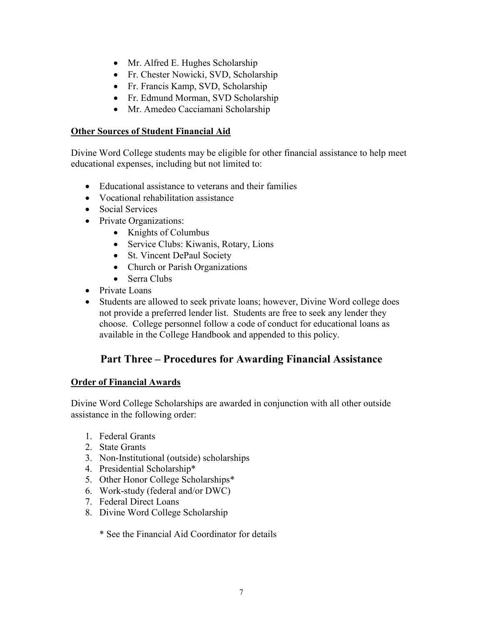- Mr. Alfred E. Hughes Scholarship
- Fr. Chester Nowicki, SVD, Scholarship
- Fr. Francis Kamp, SVD, Scholarship
- Fr. Edmund Morman, SVD Scholarship
- Mr. Amedeo Cacciamani Scholarship

### **Other Sources of Student Financial Aid**

Divine Word College students may be eligible for other financial assistance to help meet educational expenses, including but not limited to:

- Educational assistance to veterans and their families
- Vocational rehabilitation assistance
- Social Services
- Private Organizations:
	- Knights of Columbus
	- Service Clubs: Kiwanis, Rotary, Lions
	- St. Vincent DePaul Society
	- Church or Parish Organizations
	- Serra Clubs
- Private Loans
- Students are allowed to seek private loans; however, Divine Word college does not provide a preferred lender list. Students are free to seek any lender they choose. College personnel follow a code of conduct for educational loans as available in the College Handbook and appended to this policy.

# **Part Three – Procedures for Awarding Financial Assistance**

### **Order of Financial Awards**

Divine Word College Scholarships are awarded in conjunction with all other outside assistance in the following order:

- 1. Federal Grants
- 2. State Grants
- 3. Non-Institutional (outside) scholarships
- 4. Presidential Scholarship\*
- 5. Other Honor College Scholarships\*
- 6. Work-study (federal and/or DWC)
- 7. Federal Direct Loans
- 8. Divine Word College Scholarship

\* See the Financial Aid Coordinator for details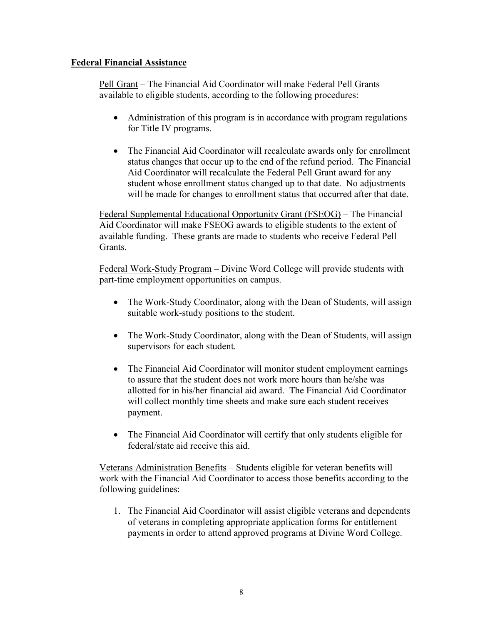### **Federal Financial Assistance**

Pell Grant – The Financial Aid Coordinator will make Federal Pell Grants available to eligible students, according to the following procedures:

- Administration of this program is in accordance with program regulations for Title IV programs.
- The Financial Aid Coordinator will recalculate awards only for enrollment status changes that occur up to the end of the refund period. The Financial Aid Coordinator will recalculate the Federal Pell Grant award for any student whose enrollment status changed up to that date. No adjustments will be made for changes to enrollment status that occurred after that date.

Federal Supplemental Educational Opportunity Grant (FSEOG) – The Financial Aid Coordinator will make FSEOG awards to eligible students to the extent of available funding. These grants are made to students who receive Federal Pell Grants.

Federal Work-Study Program – Divine Word College will provide students with part-time employment opportunities on campus.

- The Work-Study Coordinator, along with the Dean of Students, will assign suitable work-study positions to the student.
- The Work-Study Coordinator, along with the Dean of Students, will assign supervisors for each student.
- The Financial Aid Coordinator will monitor student employment earnings to assure that the student does not work more hours than he/she was allotted for in his/her financial aid award. The Financial Aid Coordinator will collect monthly time sheets and make sure each student receives payment.
- The Financial Aid Coordinator will certify that only students eligible for federal/state aid receive this aid.

Veterans Administration Benefits – Students eligible for veteran benefits will work with the Financial Aid Coordinator to access those benefits according to the following guidelines:

1. The Financial Aid Coordinator will assist eligible veterans and dependents of veterans in completing appropriate application forms for entitlement payments in order to attend approved programs at Divine Word College.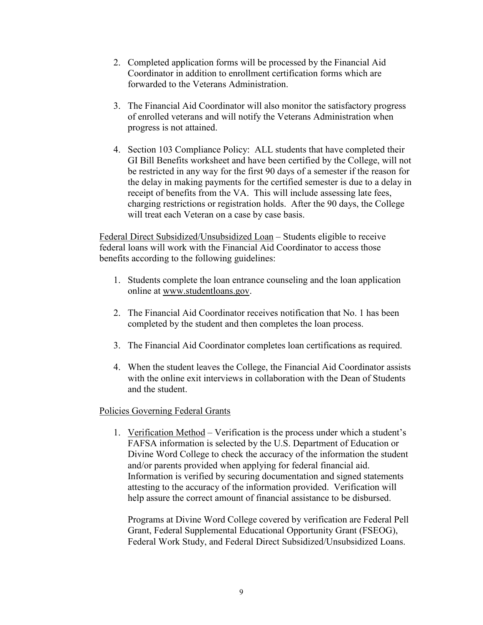- 2. Completed application forms will be processed by the Financial Aid Coordinator in addition to enrollment certification forms which are forwarded to the Veterans Administration.
- 3. The Financial Aid Coordinator will also monitor the satisfactory progress of enrolled veterans and will notify the Veterans Administration when progress is not attained.
- 4. Section 103 Compliance Policy: ALL students that have completed their GI Bill Benefits worksheet and have been certified by the College, will not be restricted in any way for the first 90 days of a semester if the reason for the delay in making payments for the certified semester is due to a delay in receipt of benefits from the VA. This will include assessing late fees, charging restrictions or registration holds. After the 90 days, the College will treat each Veteran on a case by case basis.

Federal Direct Subsidized/Unsubsidized Loan – Students eligible to receive federal loans will work with the Financial Aid Coordinator to access those benefits according to the following guidelines:

- 1. Students complete the loan entrance counseling and the loan application online at [www.studentloans.gov.](http://www.studentloans.gov/)
- 2. The Financial Aid Coordinator receives notification that No. 1 has been completed by the student and then completes the loan process.
- 3. The Financial Aid Coordinator completes loan certifications as required.
- 4. When the student leaves the College, the Financial Aid Coordinator assists with the online exit interviews in collaboration with the Dean of Students and the student.

### Policies Governing Federal Grants

1. Verification Method – Verification is the process under which a student's FAFSA information is selected by the U.S. Department of Education or Divine Word College to check the accuracy of the information the student and/or parents provided when applying for federal financial aid. Information is verified by securing documentation and signed statements attesting to the accuracy of the information provided. Verification will help assure the correct amount of financial assistance to be disbursed.

Programs at Divine Word College covered by verification are Federal Pell Grant, Federal Supplemental Educational Opportunity Grant (FSEOG), Federal Work Study, and Federal Direct Subsidized/Unsubsidized Loans.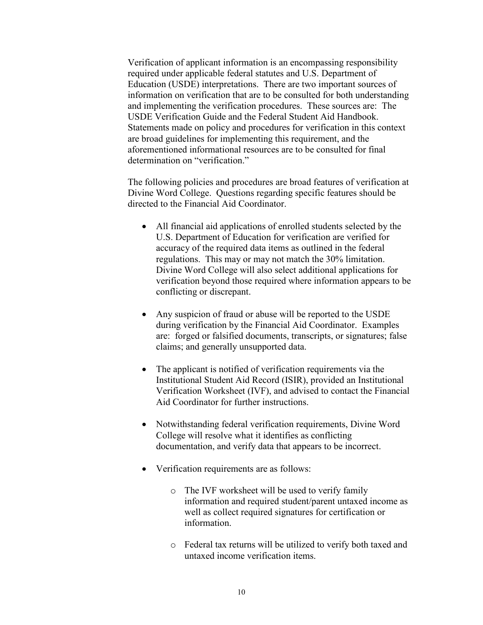Verification of applicant information is an encompassing responsibility required under applicable federal statutes and U.S. Department of Education (USDE) interpretations. There are two important sources of information on verification that are to be consulted for both understanding and implementing the verification procedures. These sources are: The USDE Verification Guide and the Federal Student Aid Handbook. Statements made on policy and procedures for verification in this context are broad guidelines for implementing this requirement, and the aforementioned informational resources are to be consulted for final determination on "verification."

The following policies and procedures are broad features of verification at Divine Word College. Questions regarding specific features should be directed to the Financial Aid Coordinator.

- All financial aid applications of enrolled students selected by the U.S. Department of Education for verification are verified for accuracy of the required data items as outlined in the federal regulations. This may or may not match the 30% limitation. Divine Word College will also select additional applications for verification beyond those required where information appears to be conflicting or discrepant.
- Any suspicion of fraud or abuse will be reported to the USDE during verification by the Financial Aid Coordinator. Examples are: forged or falsified documents, transcripts, or signatures; false claims; and generally unsupported data.
- The applicant is notified of verification requirements via the Institutional Student Aid Record (ISIR), provided an Institutional Verification Worksheet (IVF), and advised to contact the Financial Aid Coordinator for further instructions.
- Notwithstanding federal verification requirements, Divine Word College will resolve what it identifies as conflicting documentation, and verify data that appears to be incorrect.
- Verification requirements are as follows:
	- o The IVF worksheet will be used to verify family information and required student/parent untaxed income as well as collect required signatures for certification or information.
	- o Federal tax returns will be utilized to verify both taxed and untaxed income verification items.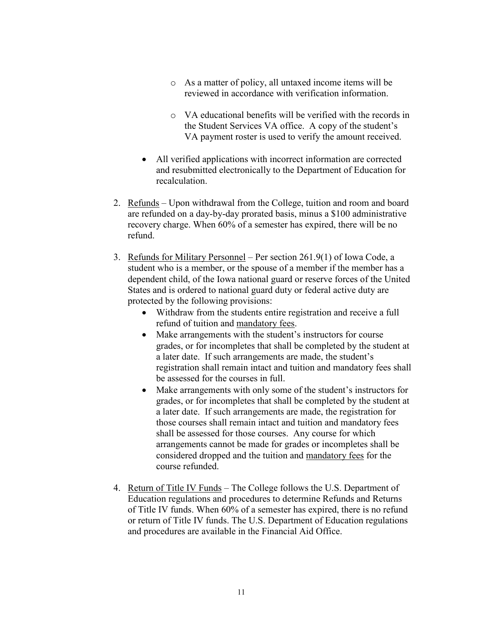- o As a matter of policy, all untaxed income items will be reviewed in accordance with verification information.
- o VA educational benefits will be verified with the records in the Student Services VA office. A copy of the student's VA payment roster is used to verify the amount received.
- All verified applications with incorrect information are corrected and resubmitted electronically to the Department of Education for recalculation.
- 2. Refunds Upon withdrawal from the College, tuition and room and board are refunded on a day-by-day prorated basis, minus a \$100 administrative recovery charge. When 60% of a semester has expired, there will be no refund.
- 3. Refunds for Military Personnel Per section 261.9(1) of Iowa Code, a student who is a member, or the spouse of a member if the member has a dependent child, of the Iowa national guard or reserve forces of the United States and is ordered to national guard duty or federal active duty are protected by the following provisions:
	- Withdraw from the students entire registration and receive a full refund of tuition and mandatory fees.
	- Make arrangements with the student's instructors for course grades, or for incompletes that shall be completed by the student at a later date. If such arrangements are made, the student's registration shall remain intact and tuition and mandatory fees shall be assessed for the courses in full.
	- Make arrangements with only some of the student's instructors for grades, or for incompletes that shall be completed by the student at a later date. If such arrangements are made, the registration for those courses shall remain intact and tuition and mandatory fees shall be assessed for those courses. Any course for which arrangements cannot be made for grades or incompletes shall be considered dropped and the tuition and mandatory fees for the course refunded.
- 4. Return of Title IV Funds The College follows the U.S. Department of Education regulations and procedures to determine Refunds and Returns of Title IV funds. When 60% of a semester has expired, there is no refund or return of Title IV funds. The U.S. Department of Education regulations and procedures are available in the Financial Aid Office.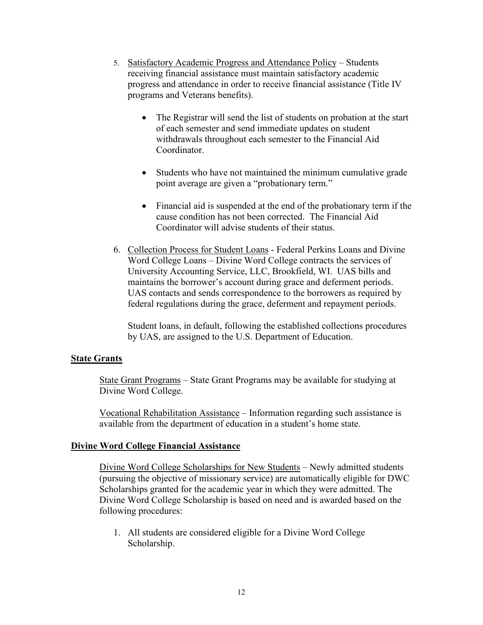- 5. Satisfactory Academic Progress and Attendance Policy Students receiving financial assistance must maintain satisfactory academic progress and attendance in order to receive financial assistance (Title IV programs and Veterans benefits).
	- The Registrar will send the list of students on probation at the start of each semester and send immediate updates on student withdrawals throughout each semester to the Financial Aid **Coordinator**
	- Students who have not maintained the minimum cumulative grade point average are given a "probationary term."
	- Financial aid is suspended at the end of the probationary term if the cause condition has not been corrected. The Financial Aid Coordinator will advise students of their status.
- 6. Collection Process for Student Loans Federal Perkins Loans and Divine Word College Loans – Divine Word College contracts the services of University Accounting Service, LLC, Brookfield, WI. UAS bills and maintains the borrower's account during grace and deferment periods. UAS contacts and sends correspondence to the borrowers as required by federal regulations during the grace, deferment and repayment periods.

Student loans, in default, following the established collections procedures by UAS, are assigned to the U.S. Department of Education.

#### **State Grants**

State Grant Programs – State Grant Programs may be available for studying at Divine Word College.

Vocational Rehabilitation Assistance – Information regarding such assistance is available from the department of education in a student's home state.

#### **Divine Word College Financial Assistance**

Divine Word College Scholarships for New Students – Newly admitted students (pursuing the objective of missionary service) are automatically eligible for DWC Scholarships granted for the academic year in which they were admitted. The Divine Word College Scholarship is based on need and is awarded based on the following procedures:

1. All students are considered eligible for a Divine Word College Scholarship.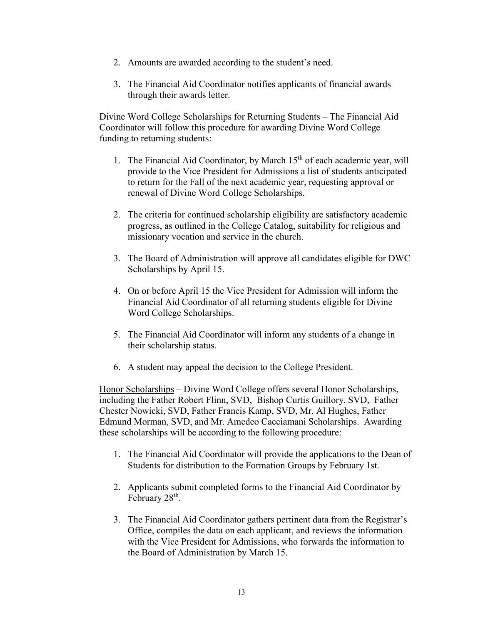- 2. Amounts are awarded according to the student's need.
- 3. The Financial Aid Coordinator notifies applicants of financial awards through their awards letter.

Divine Word College Scholarships for Returning Students – The Financial Aid Coordinator will follow this procedure for awarding Divine Word College funding to returning students:

- 1. The Financial Aid Coordinator, by March  $15<sup>th</sup>$  of each academic year, will provide to the Vice President for Admissions a list of students anticipated to return for the Fall of the next academic year, requesting approval or renewal of Divine Word College Scholarships.
- 2. The criteria for continued scholarship eligibility are satisfactory academic progress, as outlined in the College Catalog, suitability for religious and missionary vocation and service in the church.
- 3. The Board of Administration will approve all candidates eligible for DWC Scholarships by April 15.
- 4. On or before April 15 the Vice President for Admission will inform the Financial Aid Coordinator of all returning students eligible for Divine Word College Scholarships.
- 5. The Financial Aid Coordinator will inform any students of a change in their scholarship status.
- 6. A student may appeal the decision to the College President.

Honor Scholarships – Divine Word College offers several Honor Scholarships, including the Father Robert Flinn, SVD, Bishop Curtis Guillory, SVD, Father Chester Nowicki, SVD, Father Francis Kamp, SVD, Mr. Al Hughes, Father Edmund Morman, SVD, and Mr. Amedeo Cacciamani Scholarships. Awarding these scholarships will be according to the following procedure:

- 1. The Financial Aid Coordinator will provide the applications to the Dean of Students for distribution to the Formation Groups by February 1st.
- 2. Applicants submit completed forms to the Financial Aid Coordinator by February 28<sup>th</sup>.
- 3. The Financial Aid Coordinator gathers pertinent data from the Registrar's Office, compiles the data on each applicant, and reviews the information with the Vice President for Admissions, who forwards the information to the Board of Administration by March 15.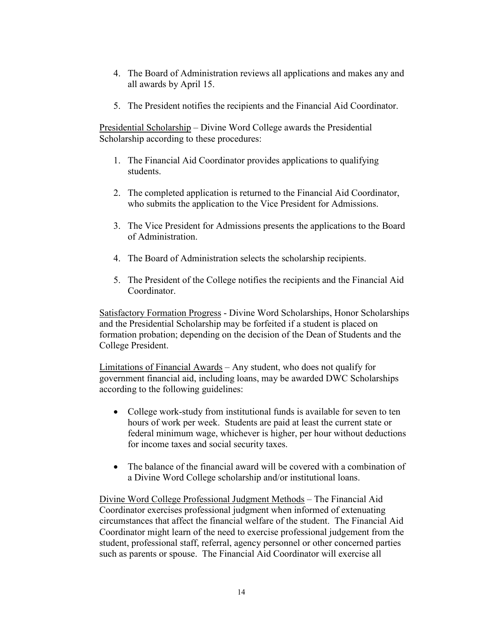- 4. The Board of Administration reviews all applications and makes any and all awards by April 15.
- 5. The President notifies the recipients and the Financial Aid Coordinator.

Presidential Scholarship – Divine Word College awards the Presidential Scholarship according to these procedures:

- 1. The Financial Aid Coordinator provides applications to qualifying students.
- 2. The completed application is returned to the Financial Aid Coordinator, who submits the application to the Vice President for Admissions.
- 3. The Vice President for Admissions presents the applications to the Board of Administration.
- 4. The Board of Administration selects the scholarship recipients.
- 5. The President of the College notifies the recipients and the Financial Aid Coordinator.

Satisfactory Formation Progress - Divine Word Scholarships, Honor Scholarships and the Presidential Scholarship may be forfeited if a student is placed on formation probation; depending on the decision of the Dean of Students and the College President.

Limitations of Financial Awards – Any student, who does not qualify for government financial aid, including loans, may be awarded DWC Scholarships according to the following guidelines:

- College work-study from institutional funds is available for seven to ten hours of work per week. Students are paid at least the current state or federal minimum wage, whichever is higher, per hour without deductions for income taxes and social security taxes.
- The balance of the financial award will be covered with a combination of a Divine Word College scholarship and/or institutional loans.

Divine Word College Professional Judgment Methods – The Financial Aid Coordinator exercises professional judgment when informed of extenuating circumstances that affect the financial welfare of the student. The Financial Aid Coordinator might learn of the need to exercise professional judgement from the student, professional staff, referral, agency personnel or other concerned parties such as parents or spouse. The Financial Aid Coordinator will exercise all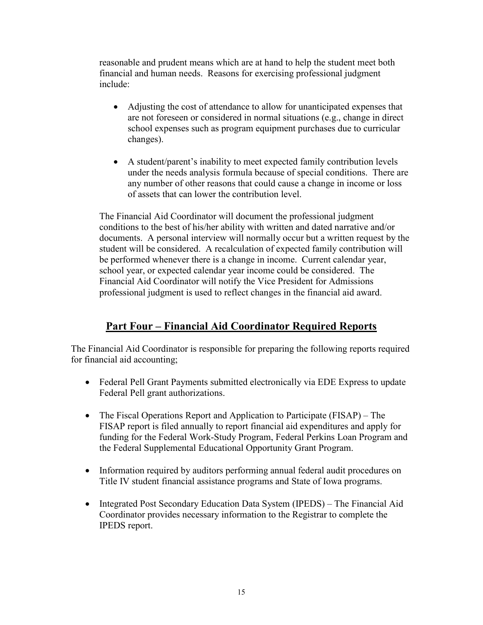reasonable and prudent means which are at hand to help the student meet both financial and human needs. Reasons for exercising professional judgment include:

- Adjusting the cost of attendance to allow for unanticipated expenses that are not foreseen or considered in normal situations (e.g., change in direct school expenses such as program equipment purchases due to curricular changes).
- A student/parent's inability to meet expected family contribution levels under the needs analysis formula because of special conditions. There are any number of other reasons that could cause a change in income or loss of assets that can lower the contribution level.

The Financial Aid Coordinator will document the professional judgment conditions to the best of his/her ability with written and dated narrative and/or documents. A personal interview will normally occur but a written request by the student will be considered. A recalculation of expected family contribution will be performed whenever there is a change in income. Current calendar year, school year, or expected calendar year income could be considered. The Financial Aid Coordinator will notify the Vice President for Admissions professional judgment is used to reflect changes in the financial aid award.

# **Part Four – Financial Aid Coordinator Required Reports**

The Financial Aid Coordinator is responsible for preparing the following reports required for financial aid accounting;

- Federal Pell Grant Payments submitted electronically via EDE Express to update Federal Pell grant authorizations.
- The Fiscal Operations Report and Application to Participate (FISAP) The FISAP report is filed annually to report financial aid expenditures and apply for funding for the Federal Work-Study Program, Federal Perkins Loan Program and the Federal Supplemental Educational Opportunity Grant Program.
- Information required by auditors performing annual federal audit procedures on Title IV student financial assistance programs and State of Iowa programs.
- Integrated Post Secondary Education Data System (IPEDS) The Financial Aid Coordinator provides necessary information to the Registrar to complete the IPEDS report.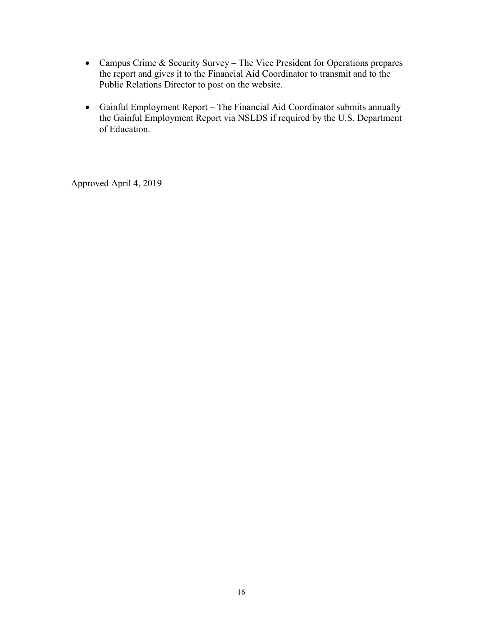- Campus Crime & Security Survey The Vice President for Operations prepares the report and gives it to the Financial Aid Coordinator to transmit and to the Public Relations Director to post on the website.
- Gainful Employment Report The Financial Aid Coordinator submits annually the Gainful Employment Report via NSLDS if required by the U.S. Department of Education.

Approved April 4, 2019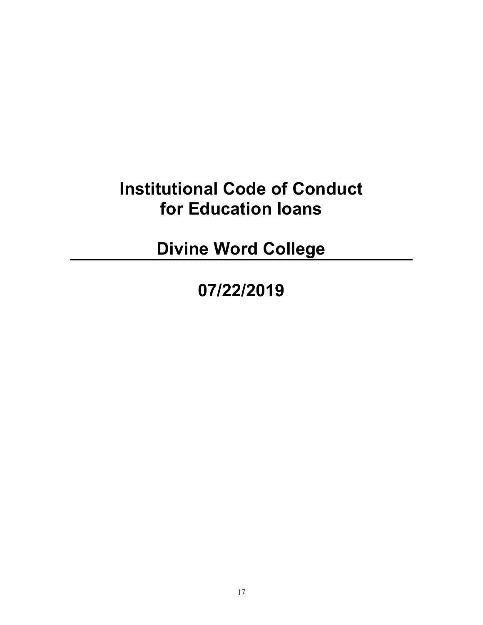# **Institutional Code of Conduct for Education loans**

**Divine Word College**

**07/22/2019**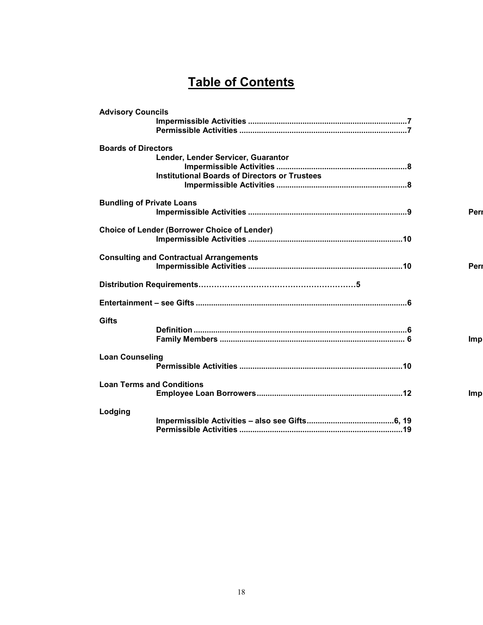# **Table of Contents**

| <b>Advisory Councils</b>         |                                                      |            |
|----------------------------------|------------------------------------------------------|------------|
| <b>Boards of Directors</b>       |                                                      |            |
|                                  | Lender, Lender Servicer, Guarantor                   |            |
|                                  | <b>Institutional Boards of Directors or Trustees</b> |            |
|                                  |                                                      |            |
|                                  |                                                      |            |
| <b>Bundling of Private Loans</b> |                                                      |            |
|                                  |                                                      | Peri       |
|                                  | <b>Choice of Lender (Borrower Choice of Lender)</b>  |            |
|                                  |                                                      |            |
|                                  |                                                      |            |
|                                  | <b>Consulting and Contractual Arrangements</b>       |            |
|                                  |                                                      | Peri       |
|                                  |                                                      |            |
|                                  |                                                      |            |
|                                  |                                                      |            |
| <b>Gifts</b>                     |                                                      |            |
|                                  |                                                      |            |
|                                  |                                                      | <b>Imp</b> |
| <b>Loan Counseling</b>           |                                                      |            |
|                                  |                                                      |            |
|                                  |                                                      |            |
| <b>Loan Terms and Conditions</b> |                                                      |            |
|                                  |                                                      | <b>Imp</b> |
|                                  |                                                      |            |
| Lodging                          |                                                      |            |
|                                  |                                                      |            |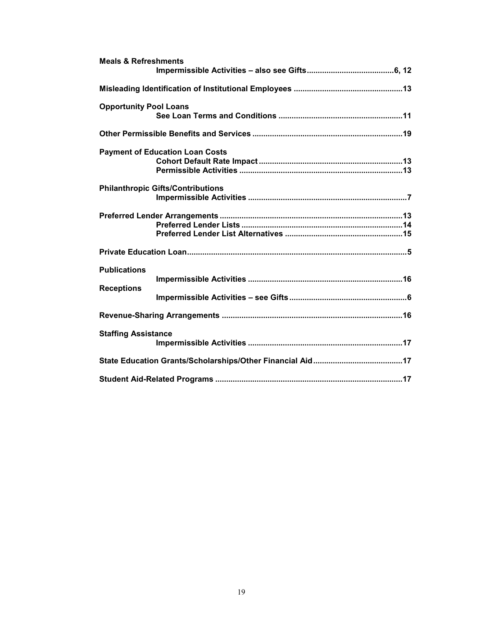| <b>Meals &amp; Refreshments</b> |                                          |  |  |  |
|---------------------------------|------------------------------------------|--|--|--|
|                                 |                                          |  |  |  |
|                                 |                                          |  |  |  |
| <b>Opportunity Pool Loans</b>   |                                          |  |  |  |
|                                 |                                          |  |  |  |
|                                 |                                          |  |  |  |
|                                 | <b>Payment of Education Loan Costs</b>   |  |  |  |
|                                 |                                          |  |  |  |
|                                 |                                          |  |  |  |
|                                 | <b>Philanthropic Gifts/Contributions</b> |  |  |  |
|                                 |                                          |  |  |  |
|                                 |                                          |  |  |  |
|                                 |                                          |  |  |  |
|                                 |                                          |  |  |  |
|                                 |                                          |  |  |  |
| <b>Publications</b>             |                                          |  |  |  |
| <b>Receptions</b>               |                                          |  |  |  |
|                                 |                                          |  |  |  |
|                                 |                                          |  |  |  |
| <b>Staffing Assistance</b>      |                                          |  |  |  |
|                                 |                                          |  |  |  |
|                                 |                                          |  |  |  |
|                                 |                                          |  |  |  |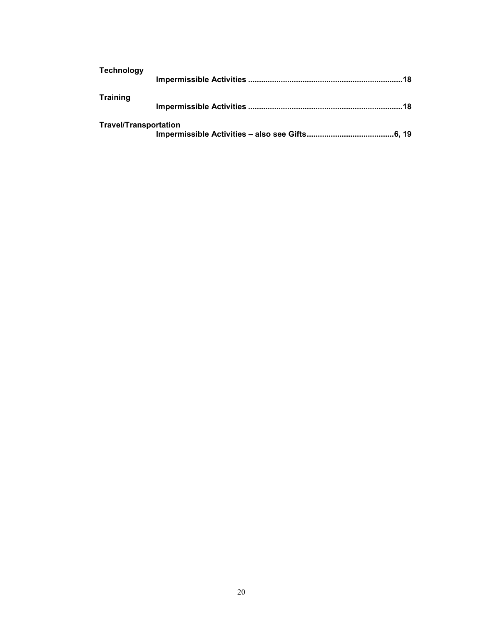| <b>Technology</b>            |     |
|------------------------------|-----|
| <b>Training</b>              |     |
|                              | .18 |
| <b>Travel/Transportation</b> |     |
|                              |     |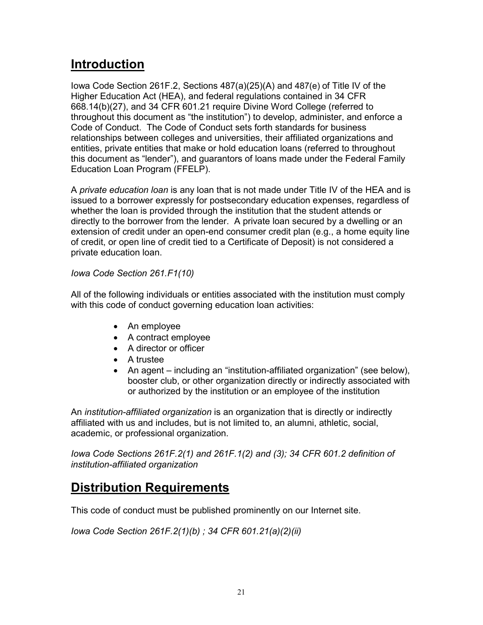# **Introduction**

Iowa Code Section 261F.2, Sections 487(a)(25)(A) and 487(e) of Title IV of the Higher Education Act (HEA), and federal regulations contained in 34 CFR 668.14(b)(27), and 34 CFR 601.21 require Divine Word College (referred to throughout this document as "the institution") to develop, administer, and enforce a Code of Conduct. The Code of Conduct sets forth standards for business relationships between colleges and universities, their affiliated organizations and entities, private entities that make or hold education loans (referred to throughout this document as "lender"), and guarantors of loans made under the Federal Family Education Loan Program (FFELP).

A *private education loan* is any loan that is not made under Title IV of the HEA and is issued to a borrower expressly for postsecondary education expenses, regardless of whether the loan is provided through the institution that the student attends or directly to the borrower from the lender. A private loan secured by a dwelling or an extension of credit under an open-end consumer credit plan (e.g., a home equity line of credit, or open line of credit tied to a Certificate of Deposit) is not considered a private education loan.

# *Iowa Code Section 261.F1(10)*

All of the following individuals or entities associated with the institution must comply with this code of conduct governing education loan activities:

- An employee
- A contract employee
- A director or officer
- A trustee
- An agent including an "institution-affiliated organization" (see below), booster club, or other organization directly or indirectly associated with or authorized by the institution or an employee of the institution

An *institution-affiliated organization* is an organization that is directly or indirectly affiliated with us and includes, but is not limited to, an alumni, athletic, social, academic, or professional organization.

*Iowa Code Sections 261F.2(1) and 261F.1(2) and (3); 34 CFR 601.2 definition of institution-affiliated organization*

# **Distribution Requirements**

This code of conduct must be published prominently on our Internet site.

*Iowa Code Section 261F.2(1)(b) ; 34 CFR 601.21(a)(2)(ii)*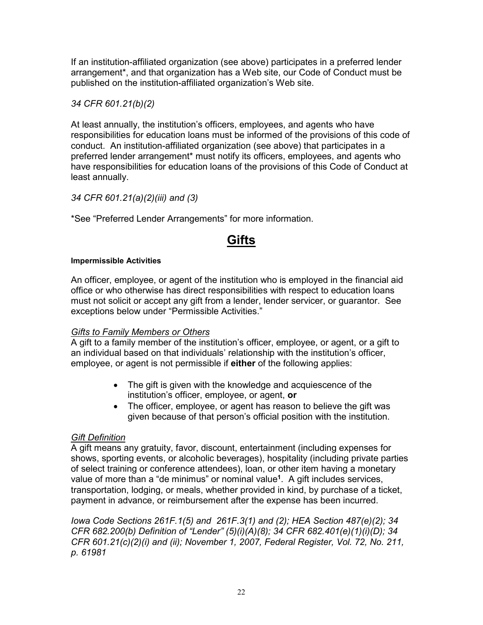If an institution-affiliated organization (see above) participates in a preferred lender arrangement\*, and that organization has a Web site, our Code of Conduct must be published on the institution-affiliated organization's Web site.

### *34 CFR 601.21(b)(2)*

At least annually, the institution's officers, employees, and agents who have responsibilities for education loans must be informed of the provisions of this code of conduct. An institution-affiliated organization (see above) that participates in a preferred lender arrangement\* must notify its officers, employees, and agents who have responsibilities for education loans of the provisions of this Code of Conduct at least annually.

### *34 CFR 601.21(a)(2)(iii) and (3)*

\*See "Preferred Lender Arrangements" for more information.

# **Gifts**

#### **Impermissible Activities**

An officer, employee, or agent of the institution who is employed in the financial aid office or who otherwise has direct responsibilities with respect to education loans must not solicit or accept any gift from a lender, lender servicer, or guarantor. See exceptions below under "Permissible Activities."

### *Gifts to Family Members or Others*

A gift to a family member of the institution's officer, employee, or agent, or a gift to an individual based on that individuals' relationship with the institution's officer, employee, or agent is not permissible if **either** of the following applies:

- The gift is given with the knowledge and acquiescence of the institution's officer, employee, or agent, **or**
- The officer, employee, or agent has reason to believe the gift was given because of that person's official position with the institution.

### *Gift Definition*

A gift means any gratuity, favor, discount, entertainment (including expenses for shows, sporting events, or alcoholic beverages), hospitality (including private parties of select training or conference attendees), loan, or other item having a monetary value of more than a "de minimus" or nominal value**<sup>1</sup>**. A gift includes services, transportation, lodging, or meals, whether provided in kind, by purchase of a ticket, payment in advance, or reimbursement after the expense has been incurred.

*Iowa Code Sections 261F.1(5) and 261F.3(1) and (2); HEA Section 487(e)(2); 34 CFR 682.200(b) Definition of "Lender" (5)(i)(A)(8); 34 CFR 682.401(e)(1)(i)(D); 34 CFR 601.21(c)(2)(i) and (ii); November 1, 2007, Federal Register, Vol. 72, No. 211, p. 61981*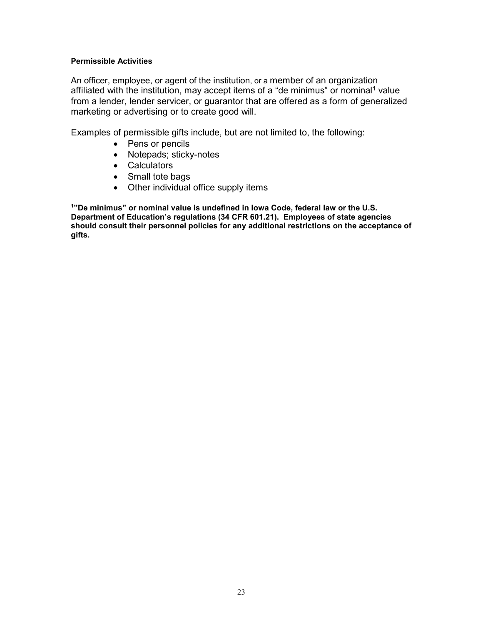#### **Permissible Activities**

An officer, employee, or agent of the institution, or a member of an organization affiliated with the institution, may accept items of a "de minimus" or nominal**<sup>1</sup>** value from a lender, lender servicer, or guarantor that are offered as a form of generalized marketing or advertising or to create good will.

Examples of permissible gifts include, but are not limited to, the following:

- Pens or pencils
- Notepads; sticky-notes
- Calculators
- Small tote bags
- Other individual office supply items

**1"De minimus" or nominal value is undefined in Iowa Code, federal law or the U.S. Department of Education's regulations (34 CFR 601.21). Employees of state agencies should consult their personnel policies for any additional restrictions on the acceptance of gifts.**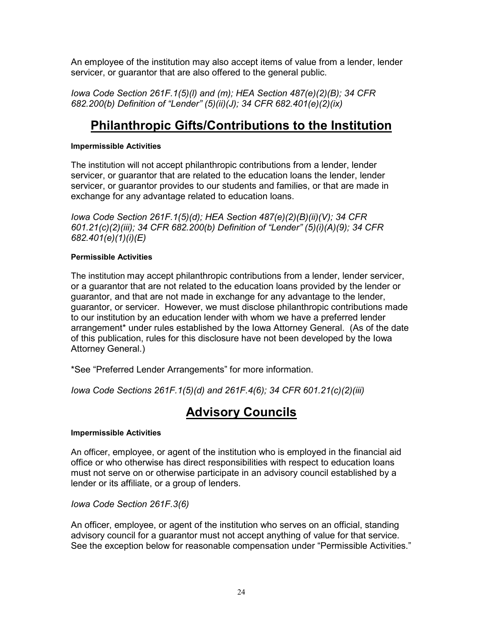An employee of the institution may also accept items of value from a lender, lender servicer, or guarantor that are also offered to the general public.

*Iowa Code Section 261F.1(5)(l) and (m); HEA Section 487(e)(2)(B); 34 CFR 682.200(b) Definition of "Lender" (5)(ii)(J); 34 CFR 682.401(e)(2)(ix)*

# **Philanthropic Gifts/Contributions to the Institution**

### **Impermissible Activities**

The institution will not accept philanthropic contributions from a lender, lender servicer, or guarantor that are related to the education loans the lender, lender servicer, or guarantor provides to our students and families, or that are made in exchange for any advantage related to education loans.

*Iowa Code Section 261F.1(5)(d); HEA Section 487(e)(2)(B)(ii)(V); 34 CFR 601.21(c)(2)(iii); 34 CFR 682.200(b) Definition of "Lender" (5)(i)(A)(9); 34 CFR 682.401(e)(1)(i)(E)*

### **Permissible Activities**

The institution may accept philanthropic contributions from a lender, lender servicer, or a guarantor that are not related to the education loans provided by the lender or guarantor, and that are not made in exchange for any advantage to the lender, guarantor, or servicer. However, we must disclose philanthropic contributions made to our institution by an education lender with whom we have a preferred lender arrangement\* under rules established by the Iowa Attorney General. (As of the date of this publication, rules for this disclosure have not been developed by the Iowa Attorney General.)

\*See "Preferred Lender Arrangements" for more information.

*Iowa Code Sections 261F.1(5)(d) and 261F.4(6); 34 CFR 601.21(c)(2)(iii)*

# **Advisory Councils**

#### **Impermissible Activities**

An officer, employee, or agent of the institution who is employed in the financial aid office or who otherwise has direct responsibilities with respect to education loans must not serve on or otherwise participate in an advisory council established by a lender or its affiliate, or a group of lenders.

*Iowa Code Section 261F.3(6)*

An officer, employee, or agent of the institution who serves on an official, standing advisory council for a guarantor must not accept anything of value for that service. See the exception below for reasonable compensation under "Permissible Activities."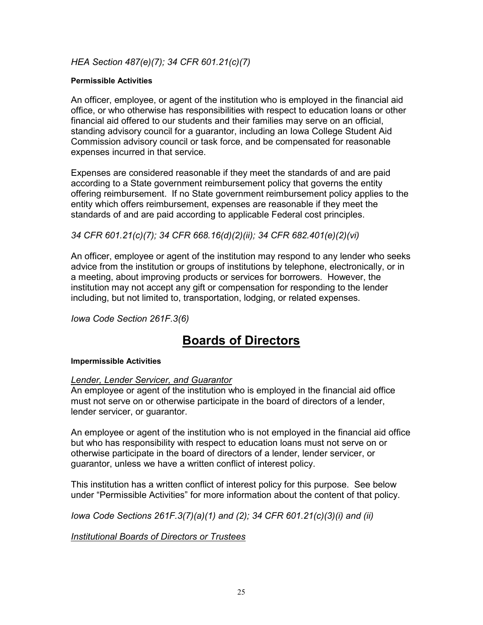### *HEA Section 487(e)(7); 34 CFR 601.21(c)(7)*

#### **Permissible Activities**

An officer, employee, or agent of the institution who is employed in the financial aid office, or who otherwise has responsibilities with respect to education loans or other financial aid offered to our students and their families may serve on an official, standing advisory council for a guarantor, including an Iowa College Student Aid Commission advisory council or task force, and be compensated for reasonable expenses incurred in that service.

Expenses are considered reasonable if they meet the standards of and are paid according to a State government reimbursement policy that governs the entity offering reimbursement. If no State government reimbursement policy applies to the entity which offers reimbursement, expenses are reasonable if they meet the standards of and are paid according to applicable Federal cost principles.

*34 CFR 601.21(c)(7); 34 CFR 668.16(d)(2)(ii); 34 CFR 682.401(e)(2)(vi)*

An officer, employee or agent of the institution may respond to any lender who seeks advice from the institution or groups of institutions by telephone, electronically, or in a meeting, about improving products or services for borrowers. However, the institution may not accept any gift or compensation for responding to the lender including, but not limited to, transportation, lodging, or related expenses.

*Iowa Code Section 261F.3(6)*

# **Boards of Directors**

#### **Impermissible Activities**

#### *Lender, Lender Servicer, and Guarantor*

An employee or agent of the institution who is employed in the financial aid office must not serve on or otherwise participate in the board of directors of a lender, lender servicer, or guarantor.

An employee or agent of the institution who is not employed in the financial aid office but who has responsibility with respect to education loans must not serve on or otherwise participate in the board of directors of a lender, lender servicer, or guarantor, unless we have a written conflict of interest policy.

This institution has a written conflict of interest policy for this purpose. See below under "Permissible Activities" for more information about the content of that policy.

*Iowa Code Sections 261F.3(7)(a)(1) and (2); 34 CFR 601.21(c)(3)(i) and (ii)*

*Institutional Boards of Directors or Trustees*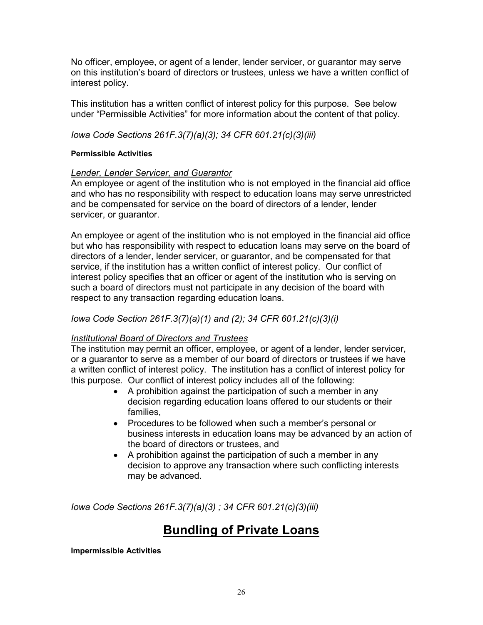No officer, employee, or agent of a lender, lender servicer, or guarantor may serve on this institution's board of directors or trustees, unless we have a written conflict of interest policy.

This institution has a written conflict of interest policy for this purpose. See below under "Permissible Activities" for more information about the content of that policy.

*Iowa Code Sections 261F.3(7)(a)(3); 34 CFR 601.21(c)(3)(iii)*

#### **Permissible Activities**

### *Lender, Lender Servicer, and Guarantor*

An employee or agent of the institution who is not employed in the financial aid office and who has no responsibility with respect to education loans may serve unrestricted and be compensated for service on the board of directors of a lender, lender servicer, or guarantor.

An employee or agent of the institution who is not employed in the financial aid office but who has responsibility with respect to education loans may serve on the board of directors of a lender, lender servicer, or guarantor, and be compensated for that service, if the institution has a written conflict of interest policy. Our conflict of interest policy specifies that an officer or agent of the institution who is serving on such a board of directors must not participate in any decision of the board with respect to any transaction regarding education loans.

### *Iowa Code Section 261F.3(7)(a)(1) and (2); 34 CFR 601.21(c)(3)(i)*

### *Institutional Board of Directors and Trustees*

The institution may permit an officer, employee, or agent of a lender, lender servicer, or a guarantor to serve as a member of our board of directors or trustees if we have a written conflict of interest policy. The institution has a conflict of interest policy for this purpose. Our conflict of interest policy includes all of the following:

- A prohibition against the participation of such a member in any decision regarding education loans offered to our students or their families,
- Procedures to be followed when such a member's personal or business interests in education loans may be advanced by an action of the board of directors or trustees, and
- A prohibition against the participation of such a member in any decision to approve any transaction where such conflicting interests may be advanced.

*Iowa Code Sections 261F.3(7)(a)(3) ; 34 CFR 601.21(c)(3)(iii)*

# **Bundling of Private Loans**

#### **Impermissible Activities**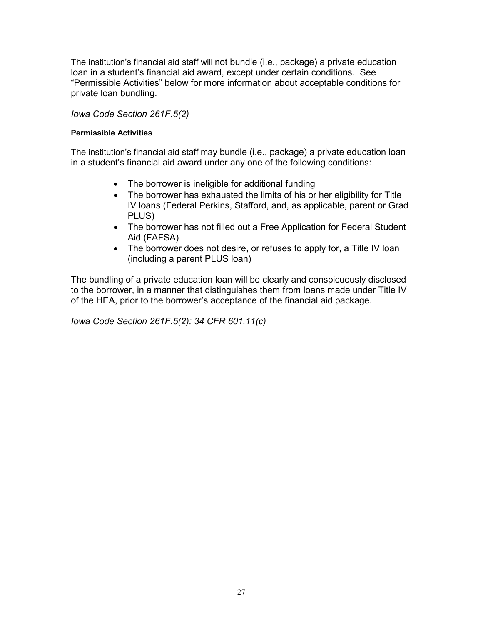The institution's financial aid staff will not bundle (i.e., package) a private education loan in a student's financial aid award, except under certain conditions. See "Permissible Activities" below for more information about acceptable conditions for private loan bundling.

### *Iowa Code Section 261F.5(2)*

#### **Permissible Activities**

The institution's financial aid staff may bundle (i.e., package) a private education loan in a student's financial aid award under any one of the following conditions:

- The borrower is ineligible for additional funding
- The borrower has exhausted the limits of his or her eligibility for Title IV loans (Federal Perkins, Stafford, and, as applicable, parent or Grad PLUS)
- The borrower has not filled out a Free Application for Federal Student Aid (FAFSA)
- The borrower does not desire, or refuses to apply for, a Title IV loan (including a parent PLUS loan)

The bundling of a private education loan will be clearly and conspicuously disclosed to the borrower, in a manner that distinguishes them from loans made under Title IV of the HEA, prior to the borrower's acceptance of the financial aid package.

*Iowa Code Section 261F.5(2); 34 CFR 601.11(c)*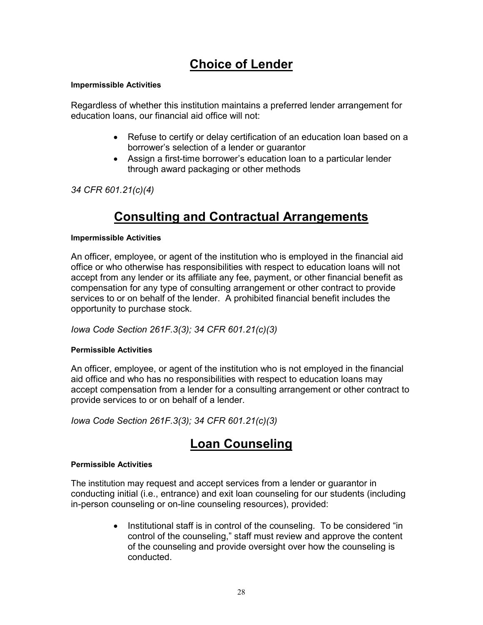# **Choice of Lender**

#### **Impermissible Activities**

Regardless of whether this institution maintains a preferred lender arrangement for education loans, our financial aid office will not:

- Refuse to certify or delay certification of an education loan based on a borrower's selection of a lender or guarantor
- Assign a first-time borrower's education loan to a particular lender through award packaging or other methods

*34 CFR 601.21(c)(4)*

# **Consulting and Contractual Arrangements**

#### **Impermissible Activities**

An officer, employee, or agent of the institution who is employed in the financial aid office or who otherwise has responsibilities with respect to education loans will not accept from any lender or its affiliate any fee, payment, or other financial benefit as compensation for any type of consulting arrangement or other contract to provide services to or on behalf of the lender. A prohibited financial benefit includes the opportunity to purchase stock.

*Iowa Code Section 261F.3(3); 34 CFR 601.21(c)(3)*

#### **Permissible Activities**

An officer, employee, or agent of the institution who is not employed in the financial aid office and who has no responsibilities with respect to education loans may accept compensation from a lender for a consulting arrangement or other contract to provide services to or on behalf of a lender.

*Iowa Code Section 261F.3(3); 34 CFR 601.21(c)(3)*

# **Loan Counseling**

#### **Permissible Activities**

The institution may request and accept services from a lender or guarantor in conducting initial (i.e., entrance) and exit loan counseling for our students (including in-person counseling or on-line counseling resources), provided:

> • Institutional staff is in control of the counseling. To be considered "in control of the counseling," staff must review and approve the content of the counseling and provide oversight over how the counseling is conducted.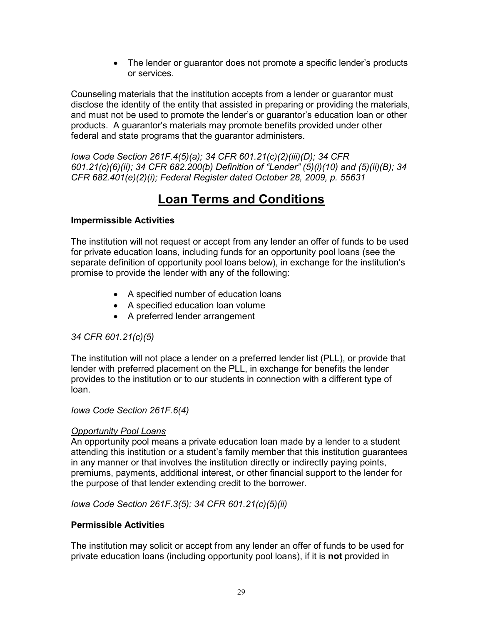• The lender or guarantor does not promote a specific lender's products or services.

Counseling materials that the institution accepts from a lender or guarantor must disclose the identity of the entity that assisted in preparing or providing the materials, and must not be used to promote the lender's or guarantor's education loan or other products. A guarantor's materials may promote benefits provided under other federal and state programs that the guarantor administers.

*Iowa Code Section 261F.4(5)(a); 34 CFR 601.21(c)(2)(iii)(D); 34 CFR 601.21(c)(6)(ii); 34 CFR 682.200(b) Definition of "Lender" (5)(i)(10) and (5)(ii)(B); 34 CFR 682.401(e)(2)(i); Federal Register dated October 28, 2009, p. 55631*

# **Loan Terms and Conditions**

### **Impermissible Activities**

The institution will not request or accept from any lender an offer of funds to be used for private education loans, including funds for an opportunity pool loans (see the separate definition of opportunity pool loans below), in exchange for the institution's promise to provide the lender with any of the following:

- A specified number of education loans
- A specified education loan volume
- A preferred lender arrangement

# *34 CFR 601.21(c)(5)*

The institution will not place a lender on a preferred lender list (PLL), or provide that lender with preferred placement on the PLL, in exchange for benefits the lender provides to the institution or to our students in connection with a different type of loan.

### *Iowa Code Section 261F.6(4)*

### *Opportunity Pool Loans*

An opportunity pool means a private education loan made by a lender to a student attending this institution or a student's family member that this institution guarantees in any manner or that involves the institution directly or indirectly paying points, premiums, payments, additional interest, or other financial support to the lender for the purpose of that lender extending credit to the borrower.

*Iowa Code Section 261F.3(5); 34 CFR 601.21(c)(5)(ii)*

### **Permissible Activities**

The institution may solicit or accept from any lender an offer of funds to be used for private education loans (including opportunity pool loans), if it is **not** provided in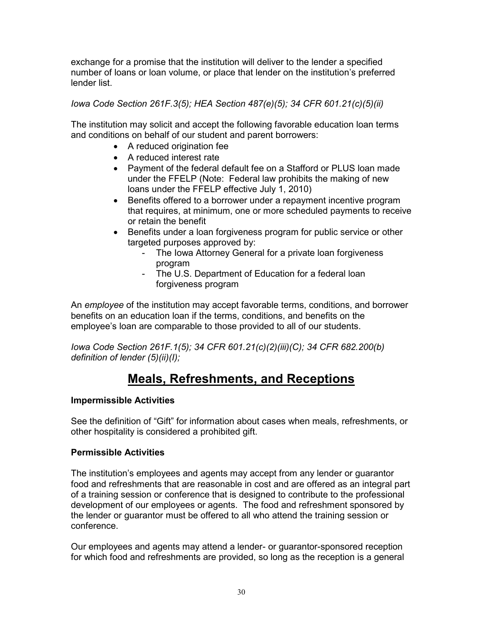exchange for a promise that the institution will deliver to the lender a specified number of loans or loan volume, or place that lender on the institution's preferred lender list.

*Iowa Code Section 261F.3(5); HEA Section 487(e)(5); 34 CFR 601.21(c)(5)(ii)*

The institution may solicit and accept the following favorable education loan terms and conditions on behalf of our student and parent borrowers:

- A reduced origination fee
- A reduced interest rate
- Payment of the federal default fee on a Stafford or PLUS loan made under the FFELP (Note: Federal law prohibits the making of new loans under the FFELP effective July 1, 2010)
- Benefits offered to a borrower under a repayment incentive program that requires, at minimum, one or more scheduled payments to receive or retain the benefit
- Benefits under a loan forgiveness program for public service or other targeted purposes approved by:
	- The Iowa Attorney General for a private loan forgiveness program
	- The U.S. Department of Education for a federal loan forgiveness program

An *employee* of the institution may accept favorable terms, conditions, and borrower benefits on an education loan if the terms, conditions, and benefits on the employee's loan are comparable to those provided to all of our students.

*Iowa Code Section 261F.1(5); 34 CFR 601.21(c)(2)(iii)(C); 34 CFR 682.200(b) definition of lender (5)(ii)(I);* 

# **Meals, Refreshments, and Receptions**

# **Impermissible Activities**

See the definition of "Gift" for information about cases when meals, refreshments, or other hospitality is considered a prohibited gift.

# **Permissible Activities**

The institution's employees and agents may accept from any lender or guarantor food and refreshments that are reasonable in cost and are offered as an integral part of a training session or conference that is designed to contribute to the professional development of our employees or agents. The food and refreshment sponsored by the lender or guarantor must be offered to all who attend the training session or conference.

Our employees and agents may attend a lender- or guarantor-sponsored reception for which food and refreshments are provided, so long as the reception is a general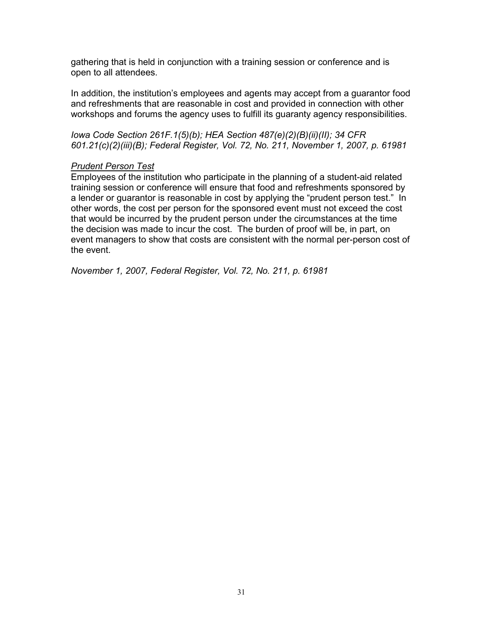gathering that is held in conjunction with a training session or conference and is open to all attendees.

In addition, the institution's employees and agents may accept from a guarantor food and refreshments that are reasonable in cost and provided in connection with other workshops and forums the agency uses to fulfill its guaranty agency responsibilities.

*Iowa Code Section 261F.1(5)(b); HEA Section 487(e)(2)(B)(ii)(II); 34 CFR 601.21(c)(2)(iii)(B); Federal Register, Vol. 72, No. 211, November 1, 2007, p. 61981*

#### *Prudent Person Test*

Employees of the institution who participate in the planning of a student-aid related training session or conference will ensure that food and refreshments sponsored by a lender or guarantor is reasonable in cost by applying the "prudent person test." In other words, the cost per person for the sponsored event must not exceed the cost that would be incurred by the prudent person under the circumstances at the time the decision was made to incur the cost. The burden of proof will be, in part, on event managers to show that costs are consistent with the normal per-person cost of the event.

*November 1, 2007, Federal Register, Vol. 72, No. 211, p. 61981*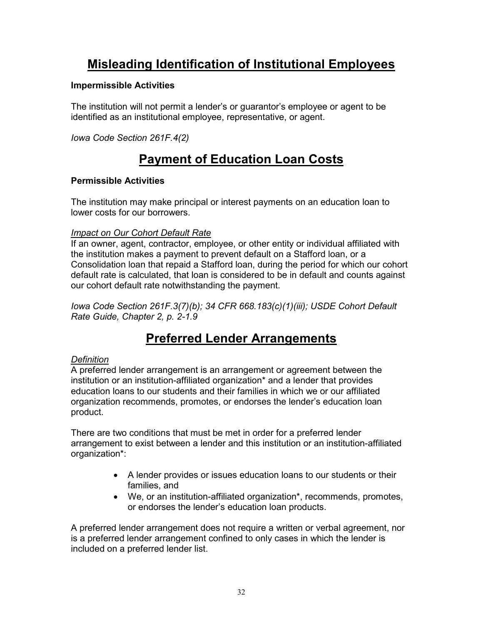# **Misleading Identification of Institutional Employees**

### **Impermissible Activities**

The institution will not permit a lender's or guarantor's employee or agent to be identified as an institutional employee, representative, or agent.

*Iowa Code Section 261F.4(2)*

# **Payment of Education Loan Costs**

### **Permissible Activities**

The institution may make principal or interest payments on an education loan to lower costs for our borrowers.

### *Impact on Our Cohort Default Rate*

If an owner, agent, contractor, employee, or other entity or individual affiliated with the institution makes a payment to prevent default on a Stafford loan, or a Consolidation loan that repaid a Stafford loan, during the period for which our cohort default rate is calculated, that loan is considered to be in default and counts against our cohort default rate notwithstanding the payment.

*Iowa Code Section 261F.3(7)(b); 34 CFR 668.183(c)(1)(iii); USDE Cohort Default Rate Guide, Chapter 2, p. 2-1.9*

# **Preferred Lender Arrangements**

### *Definition*

A preferred lender arrangement is an arrangement or agreement between the institution or an institution-affiliated organization\* and a lender that provides education loans to our students and their families in which we or our affiliated organization recommends, promotes, or endorses the lender's education loan product.

There are two conditions that must be met in order for a preferred lender arrangement to exist between a lender and this institution or an institution-affiliated organization\*:

- A lender provides or issues education loans to our students or their families, and
- We, or an institution-affiliated organization<sup>\*</sup>, recommends, promotes, or endorses the lender's education loan products.

A preferred lender arrangement does not require a written or verbal agreement, nor is a preferred lender arrangement confined to only cases in which the lender is included on a preferred lender list.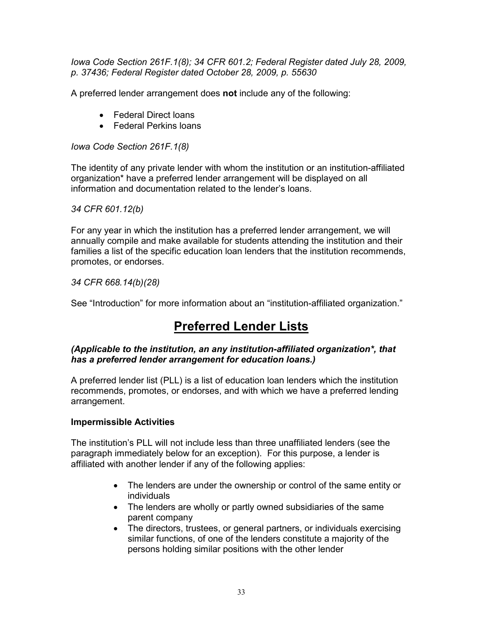*Iowa Code Section 261F.1(8); 34 CFR 601.2; Federal Register dated July 28, 2009, p. 37436; Federal Register dated October 28, 2009, p. 55630*

A preferred lender arrangement does **not** include any of the following:

- Federal Direct loans
- Federal Perkins loans

*Iowa Code Section 261F.1(8)*

The identity of any private lender with whom the institution or an institution-affiliated organization\* have a preferred lender arrangement will be displayed on all information and documentation related to the lender's loans.

### *34 CFR 601.12(b)*

For any year in which the institution has a preferred lender arrangement, we will annually compile and make available for students attending the institution and their families a list of the specific education loan lenders that the institution recommends, promotes, or endorses.

*34 CFR 668.14(b)(28)*

See "Introduction" for more information about an "institution-affiliated organization."

# **Preferred Lender Lists**

### *(Applicable to the institution, an any institution-affiliated organization\*, that has a preferred lender arrangement for education loans.)*

A preferred lender list (PLL) is a list of education loan lenders which the institution recommends, promotes, or endorses, and with which we have a preferred lending arrangement.

### **Impermissible Activities**

The institution's PLL will not include less than three unaffiliated lenders (see the paragraph immediately below for an exception). For this purpose, a lender is affiliated with another lender if any of the following applies:

- The lenders are under the ownership or control of the same entity or individuals
- The lenders are wholly or partly owned subsidiaries of the same parent company
- The directors, trustees, or general partners, or individuals exercising similar functions, of one of the lenders constitute a majority of the persons holding similar positions with the other lender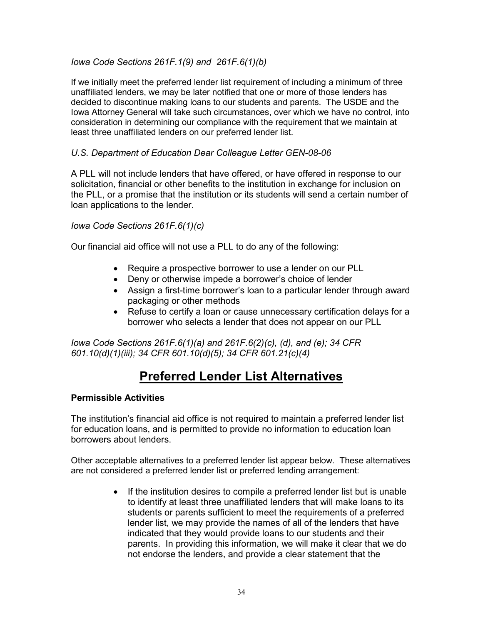### *Iowa Code Sections 261F.1(9) and 261F.6(1)(b)*

If we initially meet the preferred lender list requirement of including a minimum of three unaffiliated lenders, we may be later notified that one or more of those lenders has decided to discontinue making loans to our students and parents. The USDE and the Iowa Attorney General will take such circumstances, over which we have no control, into consideration in determining our compliance with the requirement that we maintain at least three unaffiliated lenders on our preferred lender list.

### *U.S. Department of Education Dear Colleague Letter GEN-08-06*

A PLL will not include lenders that have offered, or have offered in response to our solicitation, financial or other benefits to the institution in exchange for inclusion on the PLL, or a promise that the institution or its students will send a certain number of loan applications to the lender.

### *Iowa Code Sections 261F.6(1)(c)*

Our financial aid office will not use a PLL to do any of the following:

- Require a prospective borrower to use a lender on our PLL
- Deny or otherwise impede a borrower's choice of lender
- Assign a first-time borrower's loan to a particular lender through award packaging or other methods
- Refuse to certify a loan or cause unnecessary certification delays for a borrower who selects a lender that does not appear on our PLL

*Iowa Code Sections 261F.6(1)(a) and 261F.6(2)(c), (d), and (e); 34 CFR 601.10(d)(1)(iii); 34 CFR 601.10(d)(5); 34 CFR 601.21(c)(4)*

# **Preferred Lender List Alternatives**

#### **Permissible Activities**

The institution's financial aid office is not required to maintain a preferred lender list for education loans, and is permitted to provide no information to education loan borrowers about lenders.

Other acceptable alternatives to a preferred lender list appear below. These alternatives are not considered a preferred lender list or preferred lending arrangement:

> • If the institution desires to compile a preferred lender list but is unable to identify at least three unaffiliated lenders that will make loans to its students or parents sufficient to meet the requirements of a preferred lender list, we may provide the names of all of the lenders that have indicated that they would provide loans to our students and their parents. In providing this information, we will make it clear that we do not endorse the lenders, and provide a clear statement that the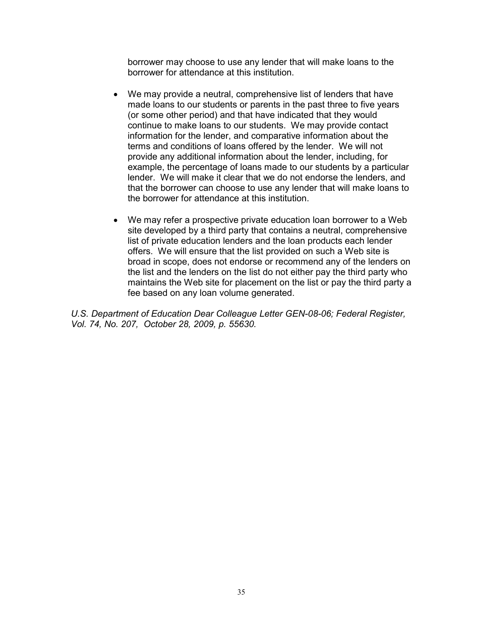borrower may choose to use any lender that will make loans to the borrower for attendance at this institution.

- We may provide a neutral, comprehensive list of lenders that have made loans to our students or parents in the past three to five years (or some other period) and that have indicated that they would continue to make loans to our students. We may provide contact information for the lender, and comparative information about the terms and conditions of loans offered by the lender. We will not provide any additional information about the lender, including, for example, the percentage of loans made to our students by a particular lender. We will make it clear that we do not endorse the lenders, and that the borrower can choose to use any lender that will make loans to the borrower for attendance at this institution.
- We may refer a prospective private education loan borrower to a Web site developed by a third party that contains a neutral, comprehensive list of private education lenders and the loan products each lender offers. We will ensure that the list provided on such a Web site is broad in scope, does not endorse or recommend any of the lenders on the list and the lenders on the list do not either pay the third party who maintains the Web site for placement on the list or pay the third party a fee based on any loan volume generated.

*U.S. Department of Education Dear Colleague Letter GEN-08-06; Federal Register, Vol. 74, No. 207, October 28, 2009, p. 55630.*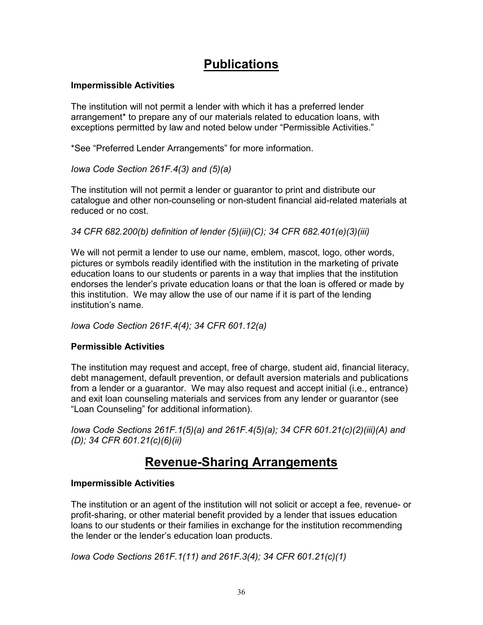# **Publications**

### **Impermissible Activities**

The institution will not permit a lender with which it has a preferred lender arrangement\* to prepare any of our materials related to education loans, with exceptions permitted by law and noted below under "Permissible Activities."

\*See "Preferred Lender Arrangements" for more information.

*Iowa Code Section 261F.4(3) and (5)(a)*

The institution will not permit a lender or guarantor to print and distribute our catalogue and other non-counseling or non-student financial aid-related materials at reduced or no cost.

*34 CFR 682.200(b) definition of lender (5)(iii)(C); 34 CFR 682.401(e)(3)(iii)*

We will not permit a lender to use our name, emblem, mascot, logo, other words, pictures or symbols readily identified with the institution in the marketing of private education loans to our students or parents in a way that implies that the institution endorses the lender's private education loans or that the loan is offered or made by this institution. We may allow the use of our name if it is part of the lending institution's name.

*Iowa Code Section 261F.4(4); 34 CFR 601.12(a)*

# **Permissible Activities**

The institution may request and accept, free of charge, student aid, financial literacy, debt management, default prevention, or default aversion materials and publications from a lender or a guarantor. We may also request and accept initial (i.e., entrance) and exit loan counseling materials and services from any lender or guarantor (see "Loan Counseling" for additional information).

*Iowa Code Sections 261F.1(5)(a) and 261F.4(5)(a); 34 CFR 601.21(c)(2)(iii)(A) and (D); 34 CFR 601.21(c)(6)(ii)*

# **Revenue-Sharing Arrangements**

### **Impermissible Activities**

The institution or an agent of the institution will not solicit or accept a fee, revenue- or profit-sharing, or other material benefit provided by a lender that issues education loans to our students or their families in exchange for the institution recommending the lender or the lender's education loan products.

*Iowa Code Sections 261F.1(11) and 261F.3(4); 34 CFR 601.21(c)(1)*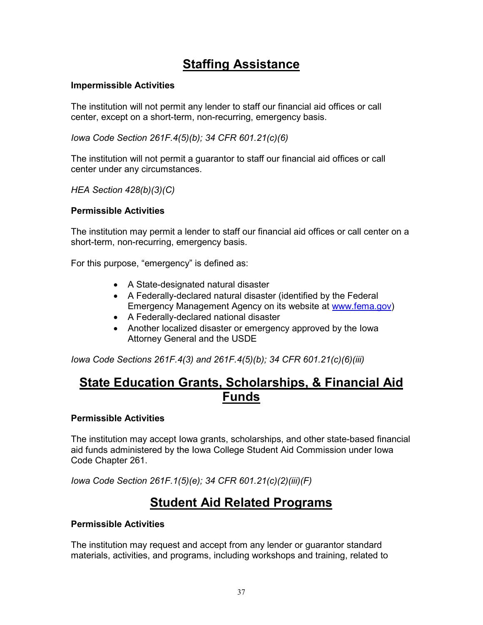# **Staffing Assistance**

### **Impermissible Activities**

The institution will not permit any lender to staff our financial aid offices or call center, except on a short-term, non-recurring, emergency basis.

*Iowa Code Section 261F.4(5)(b); 34 CFR 601.21(c)(6)*

The institution will not permit a guarantor to staff our financial aid offices or call center under any circumstances.

*HEA Section 428(b)(3)(C)* 

### **Permissible Activities**

The institution may permit a lender to staff our financial aid offices or call center on a short-term, non-recurring, emergency basis.

For this purpose, "emergency" is defined as:

- A State-designated natural disaster
- A Federally-declared natural disaster (identified by the Federal Emergency Management Agency on its website at [www.fema.gov\)](http://www.fema.gov/)
- A Federally-declared national disaster
- Another localized disaster or emergency approved by the Iowa Attorney General and the USDE

*Iowa Code Sections 261F.4(3) and 261F.4(5)(b); 34 CFR 601.21(c)(6)(iii)*

# **State Education Grants, Scholarships, & Financial Aid Funds**

#### **Permissible Activities**

The institution may accept Iowa grants, scholarships, and other state-based financial aid funds administered by the Iowa College Student Aid Commission under Iowa Code Chapter 261.

*Iowa Code Section 261F.1(5)(e); 34 CFR 601.21(c)(2)(iii)(F)*

# **Student Aid Related Programs**

#### **Permissible Activities**

The institution may request and accept from any lender or guarantor standard materials, activities, and programs, including workshops and training, related to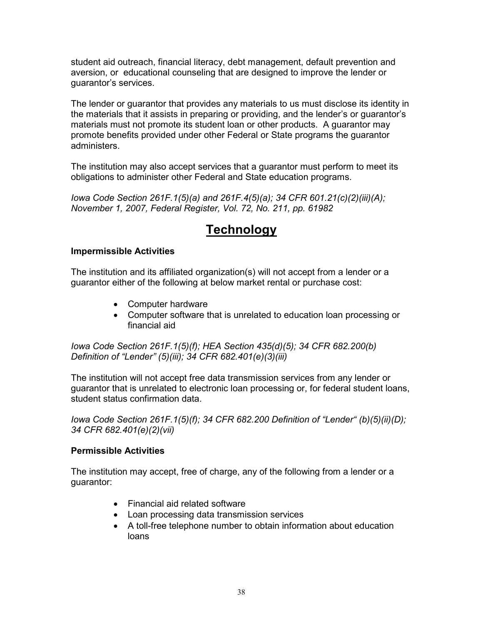student aid outreach, financial literacy, debt management, default prevention and aversion, or educational counseling that are designed to improve the lender or guarantor's services.

The lender or guarantor that provides any materials to us must disclose its identity in the materials that it assists in preparing or providing, and the lender's or guarantor's materials must not promote its student loan or other products. A guarantor may promote benefits provided under other Federal or State programs the guarantor administers.

The institution may also accept services that a guarantor must perform to meet its obligations to administer other Federal and State education programs.

*Iowa Code Section 261F.1(5)(a) and 261F.4(5)(a); 34 CFR 601.21(c)(2)(iii)(A); November 1, 2007, Federal Register, Vol. 72, No. 211, pp. 61982*

# **Technology**

### **Impermissible Activities**

The institution and its affiliated organization(s) will not accept from a lender or a guarantor either of the following at below market rental or purchase cost:

- Computer hardware
- Computer software that is unrelated to education loan processing or financial aid

*Iowa Code Section 261F.1(5)(f); HEA Section 435(d)(5); 34 CFR 682.200(b) Definition of "Lender" (5)(iii); 34 CFR 682.401(e)(3)(iii)*

The institution will not accept free data transmission services from any lender or guarantor that is unrelated to electronic loan processing or, for federal student loans, student status confirmation data.

*Iowa Code Section 261F.1(5)(f); 34 CFR 682.200 Definition of "Lender" (b)(5)(ii)(D); 34 CFR 682.401(e)(2)(vii)*

#### **Permissible Activities**

The institution may accept, free of charge, any of the following from a lender or a guarantor:

- Financial aid related software
- Loan processing data transmission services
- A toll-free telephone number to obtain information about education loans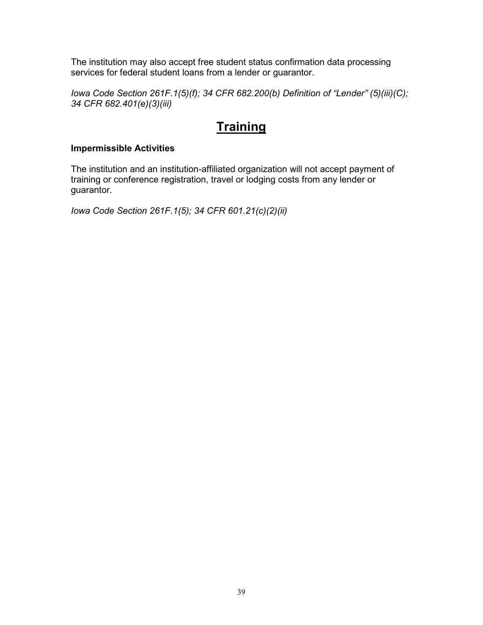The institution may also accept free student status confirmation data processing services for federal student loans from a lender or guarantor.

*Iowa Code Section 261F.1(5)(f); 34 CFR 682.200(b) Definition of "Lender" (5)(iii)(C); 34 CFR 682.401(e)(3)(iii)*

# **Training**

### **Impermissible Activities**

The institution and an institution-affiliated organization will not accept payment of training or conference registration, travel or lodging costs from any lender or guarantor.

*Iowa Code Section 261F.1(5); 34 CFR 601.21(c)(2)(ii)*